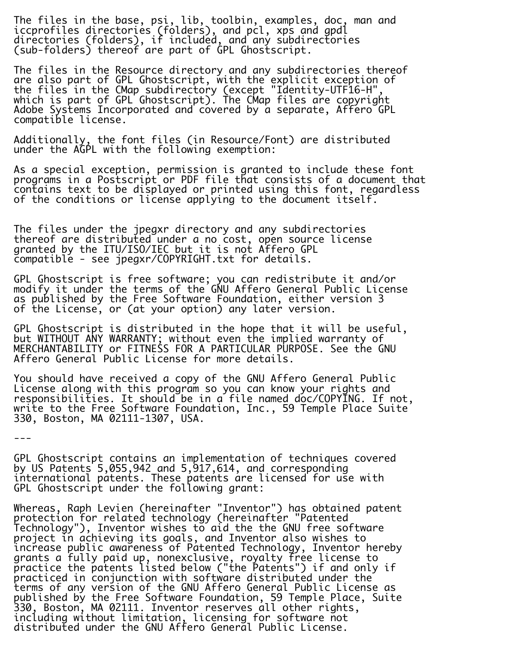The files in the base, psi, lib, toolbin, examples, doc, man and iccprofiles directories (folders), and pcl, xps and gpdl directories (folders), if included, and any subdirectories (sub-folders) thereof are part of GPL Ghostscript.

The files in the Resource directory and any subdirectories thereof are also part of GPL Ghostscript, with the explicit exception of the files in the CMap subdirectory (except "Identity-UTF16-H", which is part of GPL Ghostscript). The CMap files are copyright Adobe Systems Incorporated and covered by a separate, Affero GPL compatible license.

Additionally, the font files (in Resource/Font) are distributed under the AGPL with the following exemption:

As a special exception, permission is granted to include these font programs in a Postscript or PDF file that consists of a document that contains text to be displayed or printed using this font, regardless of the conditions or license applying to the document itself.

The files under the jpegxr directory and any subdirectories thereof are distributed under a no cost, open source license granted by the ITU/ISO/IEC but it is not Affero GPL compatible - see jpegxr/COPYRIGHT.txt for details.

GPL Ghostscript is free software; you can redistribute it and/or modify it under the terms of the GNU Affero General Public License as published by the Free Software Foundation, either version 3 of the License, or (at your option) any later version.

GPL Ghostscript is distributed in the hope that it will be useful, but WITHOUT ANY WARRANTY; without even the implied warranty of MERCHANTABILITY or FITNESS FOR A PARTICULAR PURPOSE. See the GNU Affero General Public License for more details.

You should have received a copy of the GNU Affero General Public License along with this program so you can know your rights and responsibilities. It should be in a file named doc/COPYING. If not, write to the Free Software Foundation, Inc., 59 Temple Place Suite 330, Boston, MA 02111-1307, USA.

---

GPL Ghostscript contains an implementation of techniques covered by US Patents 5,055,942 and 5,917,614, and corresponding international patents. These patents are licensed for use with GPL Ghostscript under the following grant:

Whereas, Raph Levien (hereinafter "Inventor") has obtained patent protection for related technology (hereinafter "Patented Technology"), Inventor wishes to aid the the GNU free software project in achieving its goals, and Inventor also wishes to increase public awareness of Patented Technology, Inventor hereby grants a fully paid up, nonexclusive, royalty free license to practice the patents listed below ("the Patents") if and only if practiced in conjunction with software distributed under the terms of any version of the GNU Affero General Public License as published by the Free Software Foundation, 59 Temple Place, Suite 330, Boston, MA 02111. Inventor reserves all other rights, including without limitation, licensing for software not distributed under the GNU Affero General Public License.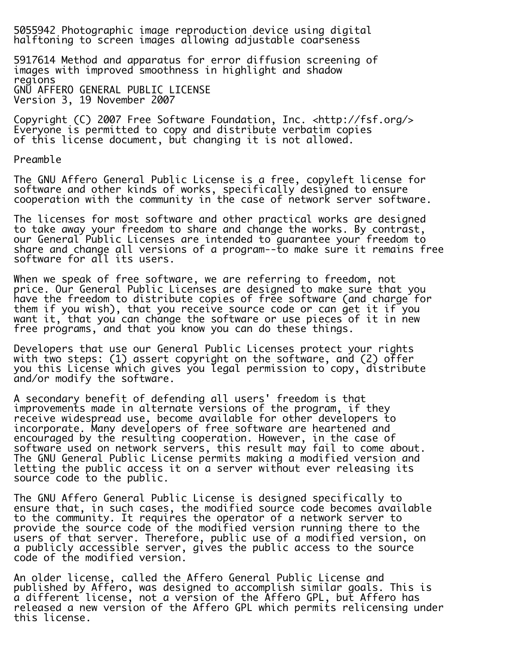5055942 Photographic image reproduction device using digital halftoning to screen images allowing adjustable coarseness

5917614 Method and apparatus for error diffusion screening of images with improved smoothness in highlight and shadow regions GNU AFFERO GENERAL PUBLIC LICENSE Version 3, 19 November 2007

Copyright (C) 2007 Free Software Foundation, Inc. <http://fsf.org/> Everyone is permitted to copy and distribute verbatim copies of this license document, but changing it is not allowed.

Preamble

The GNU Affero General Public License is a free, copyleft license for software and other kinds of works, specifically designed to ensure cooperation with the community in the case of network server software.

The licenses for most software and other practical works are designed to take away your freedom to share and change the works. By contrast, our General Public Licenses are intended to guarantee your freedom to share and change all versions of a program--to make sure it remains free software for all its users.

When we speak of free software, we are referring to freedom, not price. Our General Public Licenses are designed to make sure that you have the freedom to distribute copies of free software (and charge for them if you wish), that you receive source code or can get it if you want it, that you can change the software or use pieces of it in new free programs, and that you know you can do these things.

Developers that use our General Public Licenses protect your rights with two steps: (1) assert copyright on the software, and (2) offer you this License which gives you legal permission to copy, distribute and/or modify the software.

A secondary benefit of defending all users' freedom is that improvements made in alternate versions of the program, if they receive widespread use, become available for other developers to incorporate. Many developers of free software are heartened and encouraged by the resulting cooperation. However, in the case of software used on network servers, this result may fail to come about. The GNU General Public License permits making a modified version and letting the public access it on a server without ever releasing its source code to the public.

The GNU Affero General Public License is designed specifically to ensure that, in such cases, the modified source code becomes available to the community. It requires the operator of a network server to provide the source code of the modified version running there to the users of that server. Therefore, public use of a modified version, on a publicly accessible server, gives the public access to the source code of the modified version.

An older license, called the Affero General Public License and published by Affero, was designed to accomplish similar goals. This is a different license, not a version of the Affero GPL, but Affero has released a new version of the Affero GPL which permits relicensing under this license.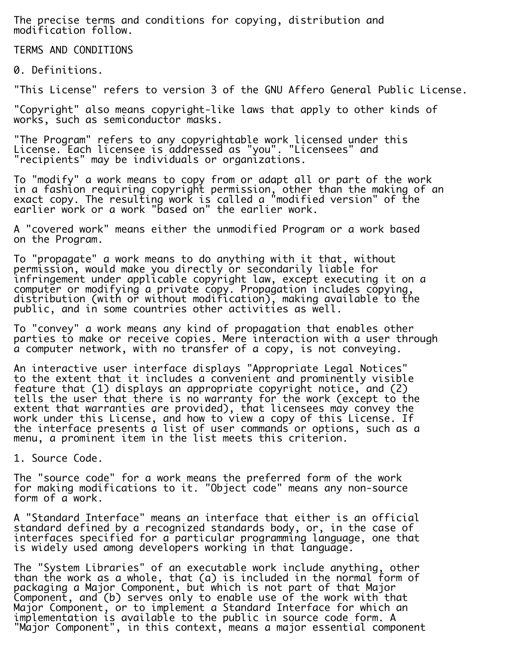The precise terms and conditions for copying, distribution and modification follow.

TERMS AND CONDITIONS

0. Definitions.

"This License" refers to version 3 of the GNU Affero General Public License.

"Copyright" also means copyright-like laws that apply to other kinds of works, such as semiconductor masks.

"The Program" refers to any copyrightable work licensed under this License. Each licensee is addressed as "you". "Licensees" and "recipients" may be individuals or organizations.

To "modify" a work means to copy from or adapt all or part of the work in a fashion requiring copyright permission, other than the making of an exact copy. The resulting work is called a "modified version" of the earlier work or a work "based on" the earlier work.

A "covered work" means either the unmodified Program or a work based on the Program.

To "propagate" a work means to do anything with it that, without permission, would make you directly or secondarily liable for infringement under applicable copyright law, except executing it on a computer or modifying a private copy. Propagation includes copying, distribution (with or without modification), making available to the public, and in some countries other activities as well.

i. To "convey" a work means any kind of propagation that enables other parties to make or receive copies. Mere interaction with a user through a computer network, with no transfer of a copy, is not conveying.

An interactive user interface displays "Appropriate Legal Notices" to the extent that it includes a convenient and prominently visible feature that (1) displays an appropriate copyright notice, and (2) tells the user that there is no warranty for the work (except to the extent that warranties are provided), that licensees may convey the work under this License, and how to view a copy of this License. If the interface presents a list of user commands or options, such as a menu, a prominent item in the list meets this criterion.

1. Source Code.

The "source code" for a work means the preferred form of the work for making modifications to it. "Object code" means any non-source form of a work.

A "Standard Interface" means an interface that either is an official standard defined by a recognized standards body, or, in the case of interfaces specified for a particular programming language, one that is widely used among developers working in that language.

The "System Libraries" of an executable work include anything, other than the work as a whole, that (a) is included in the normal form of packaging a Major Component, but which is not part of that Major Component, and (b) serves only to enable use of the work with that Major Component, or to implement a Standard Interface for which an implementation is available to the public in source code form. A "Major Component", in this context, means a major essential component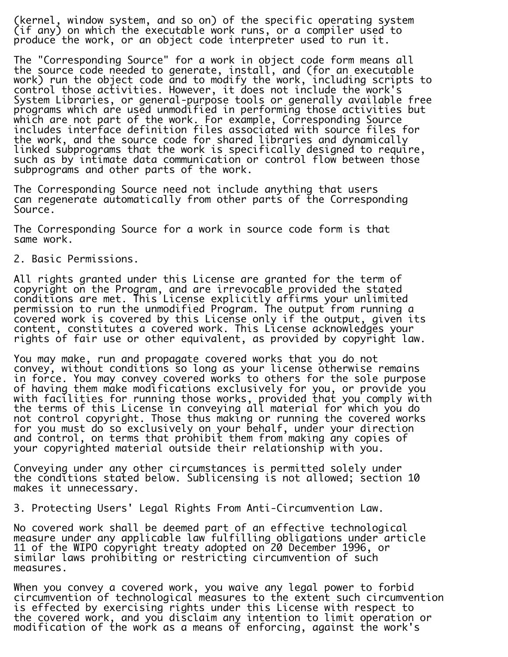(kernel, window system, and so on) of the specific operating system (if any) on which the executable work runs, or a compiler used to produce the work, or an object code interpreter used to run it.

i. The "Corresponding Source" for a work in object code form means all the source code needed to generate, install, and (for an executable work) run the object code and to modify the work, including scripts to control those activities. However, it does not include the work's System Libraries, or general-purpose tools or generally available free programs which are used unmodified in performing those activities but which are not part of the work. For example, Corresponding Source includes interface definition files associated with source files for the work, and the source code for shared libraries and dynamically linked subprograms that the work is specifically designed to require, such as by intimate data communication or control flow between those subprograms and other parts of the work.

The Corresponding Source need not include anything that users can regenerate automatically from other parts of the Corresponding Source.

The Corresponding Source for a work in source code form is that same work.

2. Basic Permissions.

All rights granted under this License are granted for the term of copyright on the Program, and are irrevocable provided the stated conditions are met. This License explicitly affirms your unlimited permission to run the unmodified Program. The output from running a covered work is covered by this License only if the output, given its content, constitutes a covered work. This License acknowledges your rights of fair use or other equivalent, as provided by copyright law.

You may make, run and propagate covered works that you do not convey, without conditions so long as your license otherwise remains in force. You may convey covered works to others for the sole purpose of having them make modifications exclusively for you, or provide you with facilities for running those works, provided that you comply with the terms of this License in conveying all material for which you do not control copyright. Those thus making or running the covered works for you must do so exclusively on your behalf, under your direction and control, on terms that prohibit them from making any copies of your copyrighted material outside their relationship with you.

Ī. Conveying under any other circumstances is permitted solely under the conditions stated below. Sublicensing is not allowed; section 10 makes it unnecessary.

3. Protecting Users' Legal Rights From Anti-Circumvention Law.

No covered work shall be deemed part of an effective technological measure under any applicable law fulfilling obligations under article 11 of the WIPO copyright treaty adopted on 20 December 1996, or similar laws prohibiting or restricting circumvention of such measures.

When you convey a covered work, you waive any legal power to forbid circumvention of technological measures to the extent such circumvention is effected by exercising rights under this License with respect to the covered work, and you disclaim any intention to limit operation or modification of the work as a means of enforcing, against the work's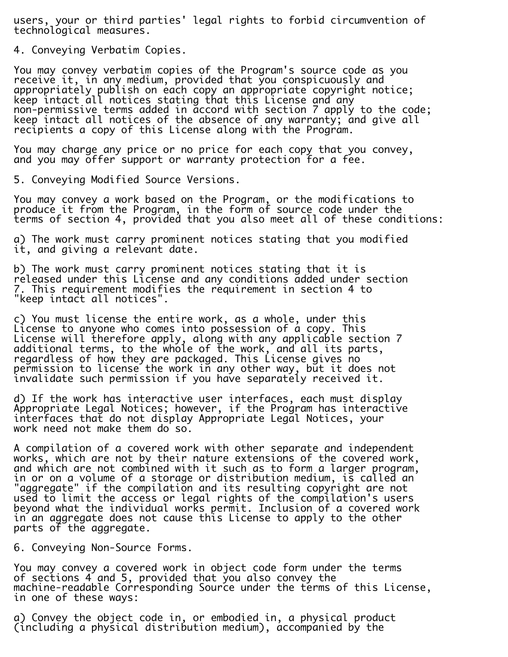users, your or third parties' legal rights to forbid circumvention of technological measures.

4. Conveying Verbatim Copies.

You may convey verbatim copies of the Program's source code as you receive it, in any medium, provided that you conspicuously and appropriately publish on each copy an appropriate copyright notice; keep intact all notices stating that this License and any non-permissive terms added in accord with section 7 apply to the code; keep intact all notices of the absence of any warranty; and give all recipients a copy of this License along with the Program.

You may charge any price or no price for each copy that you convey, and you may offer support or warranty protection for a fee.

5. Conveying Modified Source Versions.

You may convey a work based on the Program, or the modifications to produce it from the Program, in the form of source code under the terms of section 4, provided that you also meet all of these conditions:

a) The work must carry prominent notices stating that you modified it, and giving a relevant date.

b) The work must carry prominent notices stating that it is released under this License and any conditions added under section 7. This requirement modifies the requirement in section 4 to "keep intact all notices".

c) You must license the entire work, as a whole, under this License to anyone who comes into possession of a copy. This License will therefore apply, along with any applicable section 7 additional terms, to the whole of the work, and all its parts, regardless of how they are packaged. This License gives no permission to license the work in any other way, but it does not invalidate such permission if you have separately received it.

d) If the work has interactive user interfaces, each must display Appropriate Legal Notices; however, if the Program has interactive interfaces that do not display Appropriate Legal Notices, your work need not make them do so.

A compilation of a covered work with other separate and independent works, which are not by their nature extensions of the covered work, and which are not combined with it such as to form a larger program, in or on a volume of a storage or distribution medium, is called an "aggregate" if the compilation and its resulting copyright are not used to limit the access or legal rights of the compilation's users beyond what the individual works permit. Inclusion of a covered work in an aggregate does not cause this License to apply to the other parts of the aggregate.

i. 6. Conveying Non-Source Forms.

You may convey a covered work in object code form under the terms of sections 4 and 5, provided that you also convey the machine-readable Corresponding Source under the terms of this License, in one of these ways:

a) Convey the object code in, or embodied in, a physical product (including a physical distribution medium), accompanied by the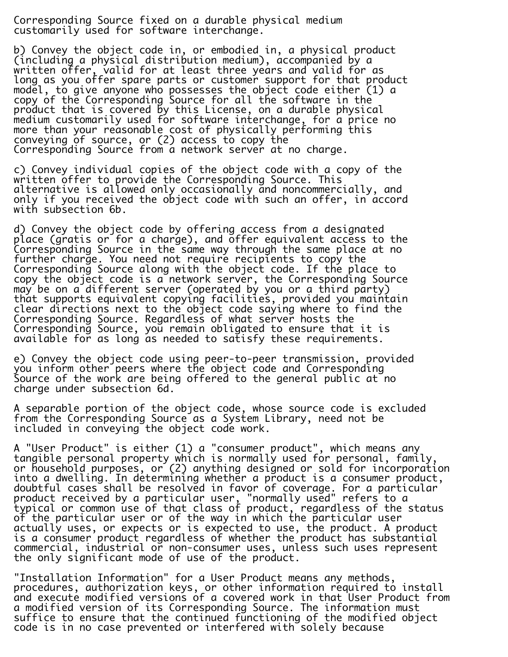Corresponding Source fixed on a durable physical medium customarily used for software interchange.

b) Convey the object code in, or embodied in, a physical product (including a physical distribution medium), accompanied by a written offer, valid for at least three years and valid for as long as you offer spare parts or customer support for that product model, to give anyone who possesses the object code either (1) a copy of the Corresponding Source for all the software in the product that is covered by this License, on a durable physical medium customarily used for software interchange, for a price no more than your reasonable cost of physically performing this conveying of source, or (2) access to copy the Corresponding Source from a network server at no charge.

c) Convey individual copies of the object code with a copy of the written offer to provide the Corresponding Source. This alternative is allowed only occasionally and noncommercially, and only if you received the object code with such an offer, in accord with subsection 6b.

d) Convey the object code by offering access from a designated place (gratis or for a charge), and offer equivalent access to the Corresponding Source in the same way through the same place at no further charge. You need not require recipients to copy the Corresponding Source along with the object code. If the place to copy the object code is a network server, the Corresponding Source may be on a different server (operated by you or a third party) that supports equivalent copying facilities, provided you maintain clear directions next to the object code saying where to find the Corresponding Source. Regardless of what server hosts the Corresponding Source, you remain obligated to ensure that it is available for as long as needed to satisfy these requirements.

e) Convey the object code using peer-to-peer transmission, provided you inform other peers where the object code and Corresponding Source of the work are being offered to the general public at no charge under subsection 6d.

A separable portion of the object code, whose source code is excluded from the Corresponding Source as a System Library, need not be included in conveying the object code work.

A "User Product" is either (1) a "consumer product", which means any tangible personal property which is normally used for personal, family, or household purposes, or (2) anything designed or sold for incorporation into a dwelling. In determining whether a product is a consumer product, doubtful cases shall be resolved in favor of coverage. For a particular product received by a particular user, "normally used" refers to a typical or common use of that class of product, regardless of the status of the particular user or of the way in which the particular user actually uses, or expects or is expected to use, the product. A product is a consumer product regardless of whether the product has substantial commercial, industrial or non-consumer uses, unless such uses represent the only significant mode of use of the product.

"Installation Information" for a User Product means any methods, procedures, authorization keys, or other information required to install and execute modified versions of a covered work in that User Product from a modified version of its Corresponding Source. The information must suffice to ensure that the continued functioning of the modified object code is in no case prevented or interfered with solely because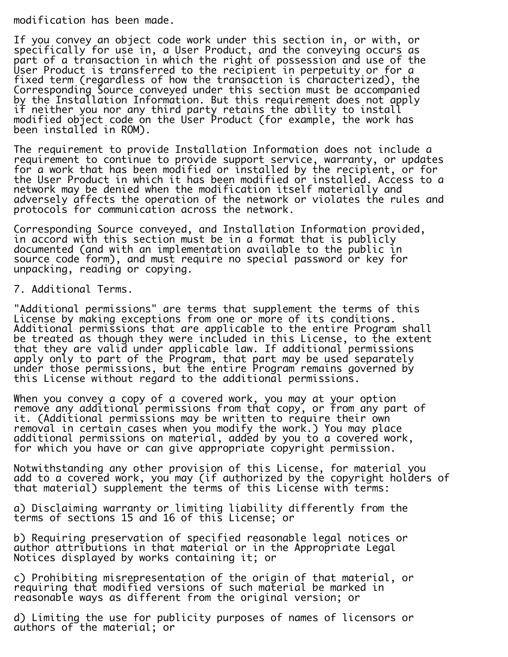modification has been made.

If you convey an object code work under this section in, or with, or specifically for use in, a User Product, and the conveying occurs as part of a transaction in which the right of possession and use of the User Product is transferred to the recipient in perpetuity or for a fixed term (regardless of how the transaction is characterized), the Corresponding Source conveyed under this section must be accompanied by the Installation Information. But this requirement does not apply if neither you nor any third party retains the ability to install modified object code on the User Product (for example, the work has been installed in ROM).

The requirement to provide Installation Information does not include a requirement to continue to provide support service, warranty, or updates for a work that has been modified or installed by the recipient, or for the User Product in which it has been modified or installed. Access to a network may be denied when the modification itself materially and adversely affects the operation of the network or violates the rules and protocols for communication across the network.

i. Corresponding Source conveyed, and Installation Information provided, in accord with this section must be in a format that is publicly documented (and with an implementation available to the public in source code form), and must require no special password or key for unpacking, reading or copying.

## 7. Additional Terms.

"Additional permissions" are terms that supplement the terms of this License by making exceptions from one or more of its conditions. Additional permissions that are applicable to the entire Program shall be treated as though they were included in this License, to the extent that they are valid under applicable law. If additional permissions apply only to part of the Program, that part may be used separately under those permissions, but the entire Program remains governed by this License without regard to the additional permissions.

When you convey a copy of a covered work, you may at your option remove any additional permissions from that copy, or from any part of it. (Additional permissions may be written to require their own removal in certain cases when you modify the work.) You may place additional permissions on material, added by you to a covered work, for which you have or can give appropriate copyright permission.

Notwithstanding any other provision of this License, for material you add to a covered work, you may (if authorized by the copyright holders of that material) supplement the terms of this License with terms:

a) Disclaiming warranty or limiting liability differently from the terms of sections 15 and 16 of this License; or

b) Requiring preservation of specified reasonable legal notices or author attributions in that material or in the Appropriate Legal Notices displayed by works containing it; or

c) Prohibiting misrepresentation of the origin of that material, or requiring that modified versions of such material be marked in reasonable ways as different from the original version; or

d) Limiting the use for publicity purposes of names of licensors or authors of the material; or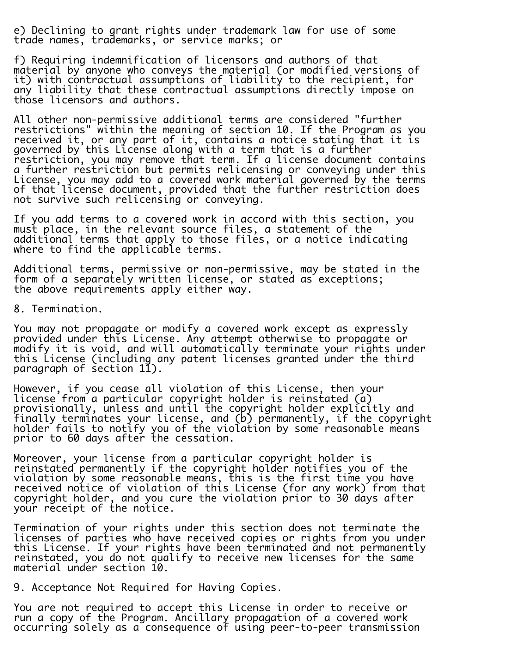e) Declining to grant rights under trademark law for use of some trade names, trademarks, or service marks; or

f) Requiring indemnification of licensors and authors of that material by anyone who conveys the material (or modified versions of it) with contractual assumptions of liability to the recipient, for any liability that these contractual assumptions directly impose on those licensors and authors.

All other non-permissive additional terms are considered "further restrictions" within the meaning of section 10. If the Program as you received it, or any part of it, contains a notice stating that it is governed by this License along with a term that is a further restriction, you may remove that term. If a license document contains a further restriction but permits relicensing or conveying under this License, you may add to a covered work material governed by the terms of that license document, provided that the further restriction does not survive such relicensing or conveying.

If you add terms to a covered work in accord with this section, you must place, in the relevant source files, a statement of the additional terms that apply to those files, or a notice indicating where to find the applicable terms.

Additional terms, permissive or non-permissive, may be stated in the form of a separately written license, or stated as exceptions; the above requirements apply either way.

8. Termination.

i.

Ī.

You may not propagate or modify a covered work except as expressly provided under this License. Any attempt otherwise to propagate or modify it is void, and will automatically terminate your rights under this License (including any patent licenses granted under the third paragraph of section 11). i.

However, if you cease all violation of this License, then your license from a particular copyright holder is reinstated (a) provisionally, unless and until the copyright holder explicitly and finally terminates your license, and (b) permanently, if the copyright holder fails to notify you of the violation by some reasonable means prior to 60 days after the cessation.

Moreover, your license from a particular copyright holder is reinstated permanently if the copyright holder notifies you of the violation by some reasonable means, this is the first time you have received notice of violation of this License (for any work) from that copyright holder, and you cure the violation prior to 30 days after your receipt of the notice.

Termination of your rights under this section does not terminate the licenses of parties who have received copies or rights from you under this License. If your rights have been terminated and not permanently reinstated, you do not qualify to receive new licenses for the same material under section 10.

9. Acceptance Not Required for Having Copies.

You are not required to accept this License in order to receive or run a copy of the Program. Ancillary propagation of a covered work occurring solely as a consequence of using peer-to-peer transmission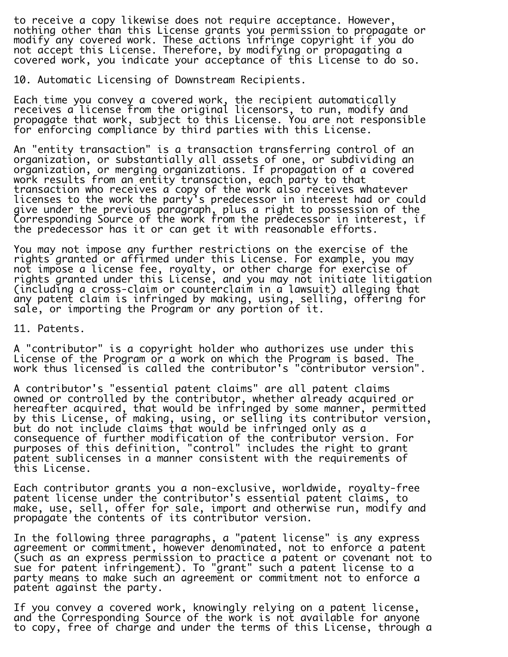to receive a copy likewise does not require acceptance. However, nothing other than this License grants you permission to propagate or modify any covered work. These actions infringe copyright if you do not accept this License. Therefore, by modifying or propagating a covered work, you indicate your acceptance of this License to do so.

10. Automatic Licensing of Downstream Recipients.

Each time you convey a covered work, the recipient automatically receives a license from the original licensors, to run, modify and propagate that work, subject to this License. You are not responsible for enforcing compliance by third parties with this License.

An "entity transaction" is a transaction transferring control of an organization, or substantially all assets of one, or subdividing an organization, or merging organizations. If propagation of a covered work results from an entity transaction, each party to that transaction who receives a copy of the work also receives whatever licenses to the work the party's predecessor in interest had or could give under the previous paragraph, plus a right to possession of the Corresponding Source of the work from the predecessor in interest, if the predecessor has it or can get it with reasonable efforts.

You may not impose any further restrictions on the exercise of the rights granted or affirmed under this License. For example, you may not impose a license fee, royalty, or other charge for exercise of rights granted under this License, and you may not initiate litigation (including a cross-claim or counterclaim in a lawsuit) alleging that any patent claim is infringed by making, using, selling, offering for sale, or importing the Program or any portion of it.

11. Patents.

A "contributor" is a copyright holder who authorizes use under this License of the Program or a work on which the Program is based. The work thus licensed is called the contributor's "contributor version".

A contributor's "essential patent claims" are all patent claims owned or controlled by the contributor, whether already acquired or hereafter acquired, that would be infringed by some manner, permitted by this License, of making, using, or selling its contributor version, but do not include claims that would be infringed only as a consequence of further modification of the contributor version. For purposes of this definition, "control" includes the right to grant patent sublicenses in a manner consistent with the requirements of this License.

Each contributor grants you a non-exclusive, worldwide, royalty-free patent license under the contributor's essential patent claims, to make, use, sell, offer for sale, import and otherwise run, modify and propagate the contents of its contributor version.

In the following three paragraphs, a "patent license" is any express agreement or commitment, however denominated, not to enforce a patent (such as an express permission to practice a patent or covenant not to sue for patent infringement). To "grant" such a patent license to a party means to make such an agreement or commitment not to enforce a patent against the party.

i. If you convey a covered work, knowingly relying on a patent license, and the Corresponding Source of the work is not available for anyone to copy, free of charge and under the terms of this License, through a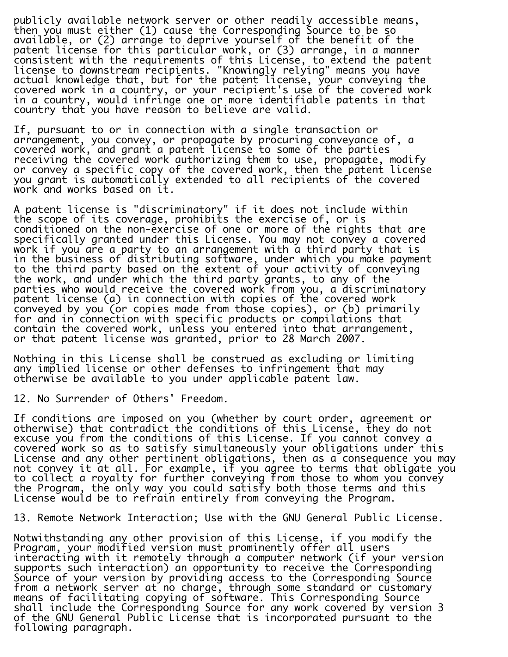publicly available network server or other readily accessible means, then you must either (1) cause the Corresponding Source to be so available, or (2) arrange to deprive yourself of the benefit of the patent license for this particular work, or (3) arrange, in a manner consistent with the requirements of this License, to extend the patent license to downstream recipients. "Knowingly relying" means you have actual knowledge that, but for the patent license, your conveying the covered work in a country, or your recipient's use of the covered work in a country, would infringe one or more identifiable patents in that country that you have reason to believe are valid.

If, pursuant to or in connection with a single transaction or arrangement, you convey, or propagate by procuring conveyance of, a covered work, and grant a patent license to some of the parties receiving the covered work authorizing them to use, propagate, modify or convey a specific copy of the covered work, then the patent license you grant is automatically extended to all recipients of the covered work and works based on it.

A patent license is "discriminatory" if it does not include within the scope of its coverage, prohibits the exercise of, or is conditioned on the non-exercise of one or more of the rights that are specifically granted under this License. You may not convey a covered work if you are a party to an arrangement with a third party that is in the business of distributing software, under which you make payment to the third party based on the extent of your activity of conveying the work, and under which the third party grants, to any of the parties who would receive the covered work from you, a discriminatory patent license (a) in connection with copies of the covered work conveyed by you (or copies made from those copies), or (b) primarily for and in connection with specific products or compilations that contain the covered work, unless you entered into that arrangement, or that patent license was granted, prior to 28 March 2007.

Nothing in this License shall be construed as excluding or limiting any implied license or other defenses to infringement that may otherwise be available to you under applicable patent law.

12. No Surrender of Others' Freedom.

If conditions are imposed on you (whether by court order, agreement or otherwise) that contradict the conditions of this License, they do not excuse you from the conditions of this License. If you cannot convey a covered work so as to satisfy simultaneously your obligations under this License and any other pertinent obligations, then as a consequence you may not convey it at all. For example, if you agree to terms that obligate you to collect a royalty for further conveying from those to whom you convey the Program, the only way you could satisfy both those terms and this License would be to refrain entirely from conveying the Program.

13. Remote Network Interaction; Use with the GNU General Public License.

Notwithstanding any other provision of this License, if you modify the Program, your modified version must prominently offer all users interacting with it remotely through a computer network (if your version supports such interaction) an opportunity to receive the Corresponding Source of your version by providing access to the Corresponding Source from a network server at no charge, through some standard or customary means of facilitating copying of software. This Corresponding Source shall include the Corresponding Source for any work covered by version 3 of the GNU General Public License that is incorporated pursuant to the following paragraph.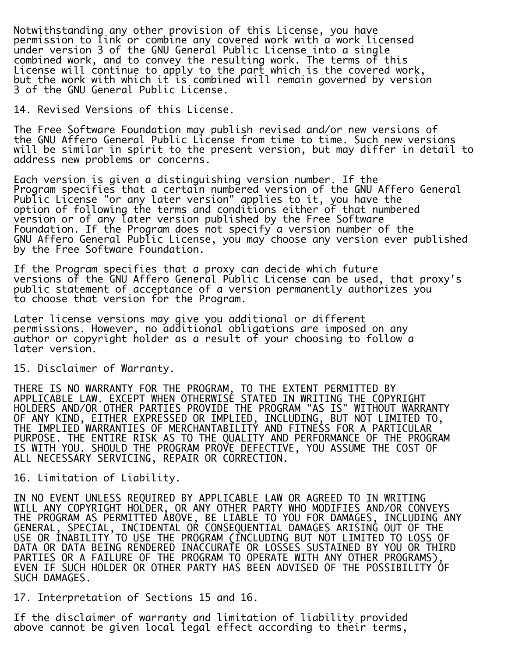Notwithstanding any other provision of this License, you have permission to link or combine any covered work with a work licensed under version 3 of the GNU General Public License into a single combined work, and to convey the resulting work. The terms of this License will continue to apply to the part which is the covered work, but the work with which it is combined will remain governed by version 3 of the GNU General Public License.

14. Revised Versions of this License.

The Free Software Foundation may publish revised and/or new versions of the GNU Affero General Public License from time to time. Such new versions will be similar in spirit to the present version, but may differ in detail to address new problems or concerns.

Each version is given a distinguishing version number. If the Program specifies that a certain numbered version of the GNU Affero General Public License "or any later version" applies to it, you have the option of following the terms and conditions either of that numbered version or of any later version published by the Free Software Foundation. If the Program does not specify a version number of the GNU Affero General Public License, you may choose any version ever published by the Free Software Foundation.

If the Program specifies that a proxy can decide which future versions of the GNU Affero General Public License can be used, that proxy's public statement of acceptance of a version permanently authorizes you to choose that version for the Program.

Later license versions may give you additional or different permissions. However, no additional obligations are imposed on any author or copyright holder as a result of your choosing to follow a later version.

15. Disclaimer of Warranty.

THERE IS NO WARRANTY FOR THE PROGRAM, TO THE EXTENT PERMITTED BY APPLICABLE LAW. EXCEPT WHEN OTHERWISE STATED IN WRITING THE COPYRIGHT HOLDERS AND/OR OTHER PARTIES PROVIDE THE PROGRAM "AS IS" WITHOUT WARRANTY OF ANY KIND, EITHER EXPRESSED OR IMPLIED, INCLUDING, BUT NOT LIMITED TO, THE IMPLIED WARRANTIES OF MERCHANTABILITY AND FITNESS FOR A PARTICULAR PURPOSE. THE ENTIRE RISK AS TO THE QUALITY AND PERFORMANCE OF THE PROGRAM IS WITH YOU. SHOULD THE PROGRAM PROVE DEFECTIVE, YOU ASSUME THE COST OF ALL NECESSARY SERVICING, REPAIR OR CORRECTION.

16. Limitation of Liability.

IN NO EVENT UNLESS REQUIRED BY APPLICABLE LAW OR AGREED TO IN WRITING WILL ANY COPYRIGHT HOLDER, OR ANY OTHER PARTY WHO MODIFIES AND/OR CONVEYS THE PROGRAM AS PERMITTED ABOVE, BE LIABLE TO YOU FOR DAMAGES, INCLUDING ANY GENERAL, SPECIAL, INCIDENTAL OR CONSEQUENTIAL DAMAGES ARISING OUT OF THE USE OR INABILITY TO USE THE PROGRAM (INCLUDING BUT NOT LIMITED TO LOSS OF DATA OR DATA BEING RENDERED INACCURATE OR LOSSES SUSTAINED BY YOU OR THIRD PARTIES OR A FAILURE OF THE PROGRAM TO OPERATE WITH ANY OTHER PROGRAMS), EVEN IF SUCH HOLDER OR OTHER PARTY HAS BEEN ADVISED OF THE POSSIBILITY OF SUCH DAMAGES.

17. Interpretation of Sections 15 and 16.

If the disclaimer of warranty and limitation of liability provided above cannot be given local legal effect according to their terms,